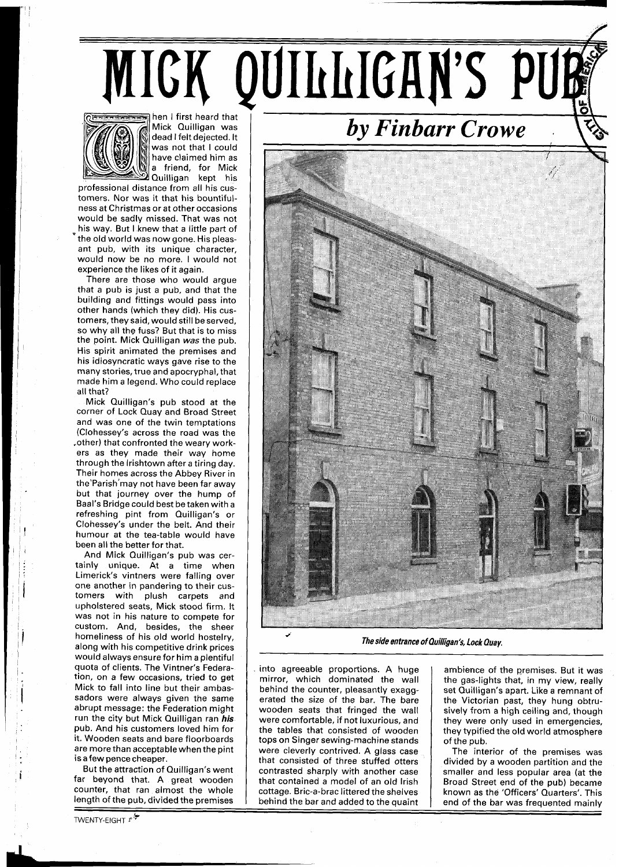## MICK QUILLIGAN'S PUE



Mick Quilligan was dead I felt dejected. It was not that I could have claimed him as a friend, for Mick Quilligan kept his

professional distance from all his customers. Nor was it that his bountifulness at Christmas or at other occasions would be sadly missed. That was not his way. But I knew that a little part of the old world was now gone. His pleasant pub, with its unique character, would now be no more. I would not experience the likes of it again.

There are those who would argue that a pub is just a pub, and that the building and fittings would pass into other hands (which they did). His customers, they said, would still be served, so why all the fuss? But that is to miss the point. Mick Quilligan **was** the pub. His spirit animated the premises and his idiosyncratic ways gave rise to the many stories, true and apocryphal, that made him a legend. Who could replace all that?

Mick Quilligan's pub stood at the corner of Lock Quay and Broad Street and was one of the twin temptations (Clohessey's across the road was the .other) that confronted the weary workers as they made their way home through the lrishtown after a tiring day. Their homes across the Abbey River in the'Parish'may not have been far away but that journey over the hump of Baal's Bridge could best be taken with a refreshing pint from Quilligan's or Clohessey's under the belt. And their humour at the tea-table would have been all the better for that.

And Mick Quilligan's pub was certainly unique. At a time when Limerick's vintners were falling over one another in pandering to their customers with plush carpets and upholstered seats, Mick stood firm. It was not in his nature to compete for custom. And, besides, the sheer homeliness of his old world hostelry, along with his competitive drink prices would always ensure for him a plentiful quota of clients. The Vintner's Federation, on a few occasions, tried to get Mick to fall into line but their ambassadors were always given the same abrupt message: the Federation might run the city but Mick Quilligan ran **his**  pub. And his customers loved him for it. Wooden seats and bare floorboards are more than acceptable when the pint is afew pence cheaper.

But the attraction of Quilligan's went far beyond that. A great wooden counter, that ran almost the whole length of the pub, divided the premises

TWENTY-EIGHT  $r^*$ 

## *by Finbarr Crowe* .



**The side entrance of Quilligan's, Lock Quay.** 

into agreeable proportions. A huge mirror, which dominated the wall behind the counter, pleasantly exaggerated the size of the bar. The bare wooden seats that fringed the wall were comfortable, if not luxurious, and the tables that consisted of wooden tops on Singer sewing-machine stands were cleverly contrived. A glass case that consisted of three stuffed otters contrasted sharply with another case that contained a model of an old Irish cottage. Bric-a-brac littered the shelves

ambience of the premises. But it was the gas-lights that, in my view, really set Quilligan's apart. Like a remnant of the Victorian past, they hung obtrusively from a high ceiling and, though they were only used in emergencies, they typified the old world atmosphere of the pub.

The interior of the premises was divided by a wooden partition and the smaller and less popular area (at the Broad Street end of the pub) became known as the 'Officers' Quarters'. This behind the bar and added to the quaint  $\parallel$  end of the bar was frequented mainly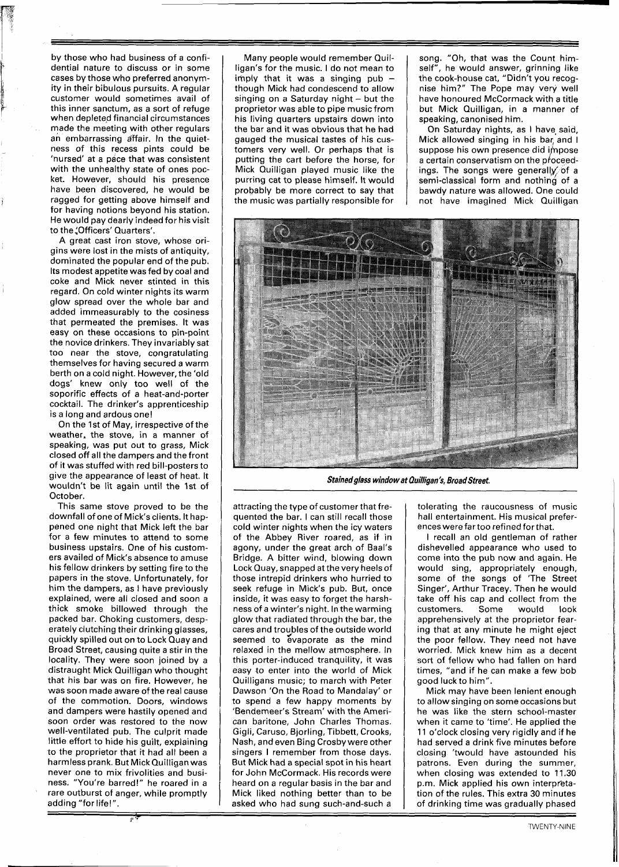by those who had business of a confi-<br>dential nature to discuss or in some cases by those who preferred anonymity in their bibulous pursuits. A regular customer would sometimes avail of this inner sanctum, as a sort of refuge when depleted financial circumstances made the meeting with other regulars an embarrassing affair. In the quietness of this recess pints could be 'nursed' at a pace that was consistent with the unhealthy state of ones pocket. However, should his presence have been discovered, he would be ragged for getting above himself and for having notions beyond his station. He would pay dearly indeed for hisvisit to the "Officers' Quarters'.

A great cast iron stove, whose origins were lost in the mists of antiquity, dominated the popular end of the pub. Its modest appetite was fed by coal and coke and Mick never stinted in this regard. On cold winter nights its warm glow spread over the whole bar and added immeasurably to the cosiness that permeated the premises. It was easy on these occasions to pin-point the novice drinkers. They invariably sat too near the stove, congratulating themselves for having secured a warm berth on a cold night. However, the 'old dogs' knew only too well of the soporific effects of a heat-and-porter cocktail. The drinker's apprenticeship is a long and ardous one!

On the 1st of May, irrespective of the weather, the stove, in a manner of speaking, was put out to grass, Mick closed off all the dampers and the front of it was stuffed with red bill-posters to give the appearance of least of heat. It wouldn't be lit again until the 1st of October.

This same stove proved to be the downfall of one of Mick's clients. It happened one night that Mick left the bar for a few minutes to attend to some business upstairs. One of his customers availed of Mick's absence to amuse his fellow drinkers by setting fire to the papers in the stove. Unfortunately, for him the dampers, as I have previously explained, were all closed and soon a thick smoke billowed through the packed bar. Choking customers, desperately clutching their drinking glasses, quickly spilled out on to Lock Quay and Broad Street, causing quite a stir in the locality. They were soon joined by a distraught Mick Quilligan who thought that his bar was on fire. However, he was soon made aware of the real cause of the commotion. Doors, windows and dampers were hastily opened and soon order was restored to the now well-ventilated pub. The culprit made little effort to hide his guilt, explaining to the proprietor that it had all been a harmless prank. But MickQuilliganwas never one to mix frivolities and business. "You're barred!" he roared in a rare outburst of anger, while promptly adding "for life!".

Many people would remember Quilligan's for the music. I do not mean to imply that it was a singing pub  $$ though Mick had condescend to allow singing on a Saturday night  $-$  but the proprietor was able to pipe music from his living quarters upstairs down into the bar and it was obvious that he had gauged the musical tastes of his customers very well. Or perhaps that is putting the cart before the horse, for Mick Quilligan played music like the purring cat to please himself. It would probably be more correct to say that the music was partially responsible for song. "Oh, that was the Count himself", he would answer, grinning like the cook-house cat, "Didn't you recognise him?" The Pope may very well have honoured McCormack with a title but Mick Quilligan, in a manner of speaking, canonised him.

On Saturday nights, as I have said, Mick allowed singing in his bar, and I suppose his own presence did impose a certain conservatism on the proceedings. The songs were generally of a semi-classical form and nothing of a bawdy nature was allowed. One could not have imagined Mick Quilligan



**Stainedglass window at Ouilligan's, Broad Street.** 

attracting the type of customer that frequented the bar. I can still recall those cold winter nights when the icy waters of the Abbey River roared, as if in agony, under the great arch of Baal's Bridge. A bitter wind, blowing down Lock Quay, snapped at the very heels of those intrepid drinkers who hurried to seek refuge in Mick's pub. But, once inside, it was easy to forget the harshness of a winter's night. In the warming glow that radiated through the bar, the cares and troubles of the outside world seemed to evaporate as the mind relaxed in the mellow atmosphere. In this porter-induced tranquility, it was easy to enter into the world of Mick Quilligans music; to march with Peter Dawson 'On the Road to Mandalay' or to spend a few happy moments by 'Bendemeer's Stream' with the American baritone, John Charles Thomas. Gigli, Caruso, Bjorling, Tibbett, Crooks, Nash, and even Bing Crosby were other singers I remember from those days. But Mick had a special spot in his heart for John McCormack. His records were heard on a regular basis in the bar and Mick liked nothing better than to be asked who had sung such-and-such a

tolerating the raucousness of music hall entertainment. His musical preferenceswere fartoo refined forthat.

I recall an old gentleman of rather dishevelled appearance who used to come into the pub now and again. He would sing, appropriately enough, some of the songs of 'The Street Singer', Arthur Tracey. Then he would take off his cap and collect from the customers. Some would look apprehensively at the proprietor fearing that at any minute he might eject the poor fellow. They need not have worried. Mick knew him as a decent sort of fellow who had fallen on hard times, "and if he can make a few bob good luck to him".

Mick may have been lenient enough to allow singing on some occasions but he was like the stern school-master when it came to 'time'. He applied the 11 o'clock closing very rigidly and if he had served a drink five minutes before closing 'twould have astounded his patrons. Even during the summer, when closing was extended to 11.30 p.m. Mick applied his own interpretation of the rules. This extra 30 minutes of drinking time was gradually phased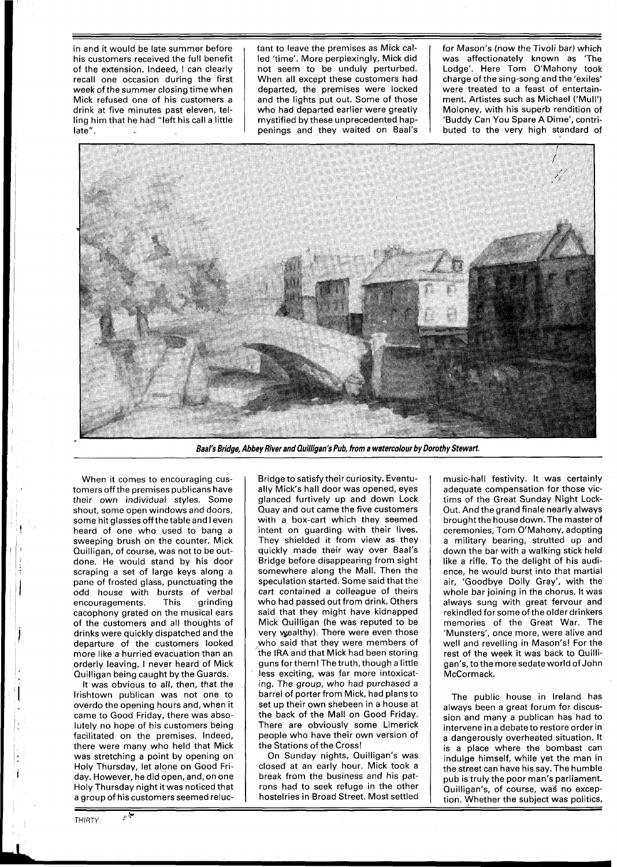hed time'. More perplexingly, Mick did | was affectionately known as 'The not seem to be unduly perturbed. | Lodge'. Here Tom O'Mahony took of the extension. Indeed, I can clearly a loot seem to be unduly perturbed. Lodge'. Here Tom O'Mahony took recall one occasion during the first When all except these customers had charge of the sing-song and the 'exiles' recall one occasion during the first When all except these customers had charge of the sing-song and the 'exiles' vere treated to a feast of entertain-<br>week of the summer closing time when departed, the premises were locke week of the summer closing time when departed, the premises were locked were treated to a feast of entertain-<br>Mick refused one of his customers a and the lights put out. Some of those ment. Artistes such as Michael ('Mull' Mick refused one of his customers a and the lights put out. Some of those ment. Artistes such as Michael ('Mull') drink at five minutes past eleven, tel- who had departed earlier were greatly Moloney, with his superb rendi who had departed earlier were greatly Moloney, with his superb rendition of mystified by these unprecedented hap-<br>Moloney, contriling him that he had "left his call a little mystified by these unprecedented hap-<br>late". late". penings and they waited on Baal's buted to the very high standard of

in and it would be late summer before tant to leave the premises as Mick cal- for Mason's (now the Tivoli bar) which<br>his customers received the full benefit led 'time'. More perplexingly, Mick did was affectionately known



**Baal's Bridge, Abbey River and Quilligan's Pub, from a watercolour by Dorothy Stewart** 

When it comes to encouraging customers off the premises publicans have their own individual styles. Some shout, some open windows and doors, some hit glasses off thetable and I even heard of one who used to bang a sweeping brush on the counter. Mick Quilligan, of course, was not to be outdone. He would stand by his door scraping a set of large keys along a pane of frosted glass, punctuating the odd house with bursts of verbal<br>encouragements. This grinding encouragements. cacophony grated on the musical ears of the customers and all thoughts of drinks were quickly dispatched and the departure of the customers looked more like a hurried evacuation than an orderly leaving. I never heard of Mick Quilligan being caught by the Guards.

It was obvious to all, then, that the lrishtown publican was not one to overdo the opening hours and, when it came to Good Friday, there was absolutely no hope of his customers being facilitated on the premises. Indeed, there were many who held that Mick was stretching a point by opening on Holy Thursday, let alone on Good Friday. However, he did open, and, on one Holy Thursday night it was noticed that a group of his customers seemed relucBridge to satisfy their curiosity. Eventually Mick's hall door was opened, eyes glanced furtively up and down Lock Quay and out came the five customers with a box-cart which they seemed intent on guarding with their lives. They shielded it from view as they quickly made their way over Baal's Bridge before disappearing from sight somewhere along the Mall. Then the speculation started. Some said that the cart contained a colleague of theirs who had passed out from drink. Others said that they might have kidnapped Mick Ouilligan (he was reputed to be very wealthy). There were even those who said that they were members of the IRA and that Mick had been storing guns for them! The truth, though a little less exciting, was far more intoxicating. The group, who had purchased a barrel of porter from Mick, had plans to set up their own shebeen in a house at the back of the Mall on Good Friday. There are obviously some Limerick people who have their own version of the Stations of the Cross!

On Sunday nights, Quilligan's was closed at an early hour. Mick took a break from the business and his patrons had to seek refuge in the other hostelries in Broad Street. Most settled music-hall festivity. It was certainly adequate compensation for those victims of the Great Sunday Night Lock-Out. And the grand finale nearly always brought the house down. The master of ceremonies, Tom O'Mahony, adopting a military bearing, strutted up and down the bar with a walking stick held like a rifle. To the delight of his audience, he would burst into that martial air, 'Goodbye Dolly Gray', with the whole bar joining in the chorus. It was always sung with great fervour and rekindled for some of the older drinkers memories of the Great War. The 'Munsters', once more, were alive and well and revelling in Mason's! For the rest of the week it was back to Ouilligan's, to the more sedate world of John McCormack.

The public house in Ireland has always been a great forum for discussion and many a publican has had to intervene in a debate to restore order in a dangerously overheated situation. It is a place where the bombast can indulge himself, while yet the man in the street can have hissay. The humble pub is truly the poor man's parliament. Quilligan's, of course, was no exception. Whether the subiect was politics,